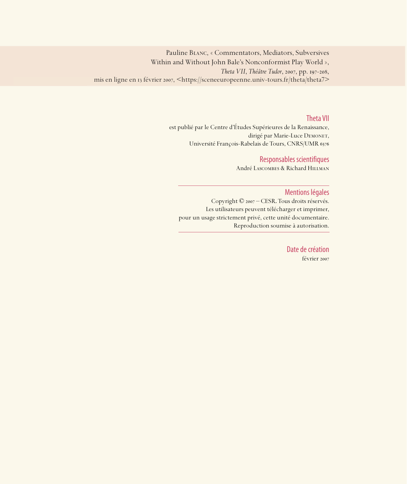Pauline Blanc, « Commentators, Mediators, Subversives Within and Without John Bale's Nonconformist Play World », *Theta VII*, *Théâtre Tudor*, 2007, pp. 197-208, mis en ligne en 13 février 2007, <https://sceneeuropeenne.univ-tours.fr/theta/theta7>

### Theta VII

est publié par le Centre d'Études Supérieures de la Renaissance, dirigé par Marie-Luce DEMONET, Université François-Rabelais de Tours, CNRS/UMR

# Responsables scientifiques

André Lascombes & Richard Hillman

#### Mentions légales

Copyright © 2007 – CESR. Tous droits réservés. Les utilisateurs peuvent télécharger et imprimer, pour un usage strictement privé, cette unité documentaire. Reproduction soumise à autorisation.

> Date de création février 2007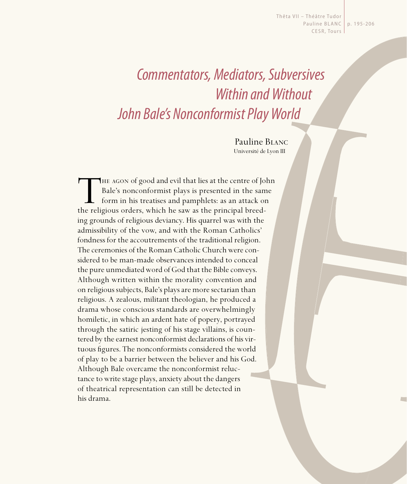Thêta VII – Théâtre Tudor Pauline BLANC | p. 195-206 CESR, Tours

# Commentators, Mediators, Subversives Within and Without John Bale's Nonconformist Play World

Pauline Blanc Université de Lyon III

THE AGON of good and evil that lies at the centre of John<br>Bale's nonconformist plays is presented in the same<br>form in his treatises and pamphlets: as an attack on<br>the religious orders, which he saw as the principal breed-Bale's nonconformist plays is presented in the same form in his treatises and pamphlets: as an attack on the religious orders, which he saw as the principal breeding grounds of religious deviancy. His quarrel was with the admissibility of the vow, and with the Roman Catholics' fondness for the accoutrements of the traditional religion. The ceremonies of the Roman Catholic Church were considered to be man-made observances intended to conceal the pure unmediated word of God that the Bible conveys. Although written within the morality convention and on religious subjects, Bale's plays are more sectarian than religious. A zealous, militant theologian, he produced a drama whose conscious standards are overwhelmingly homiletic, in which an ardent hate of popery, portrayed through the satiric jesting of his stage villains, is countered by the earnest nonconformist declarations of his virtuous figures. The nonconformists considered the world of play to be a barrier between the believer and his God. Although Bale overcame the nonconformist reluctance to write stage plays, anxiety about the dangers of theatrical representation can still be detected in his drama.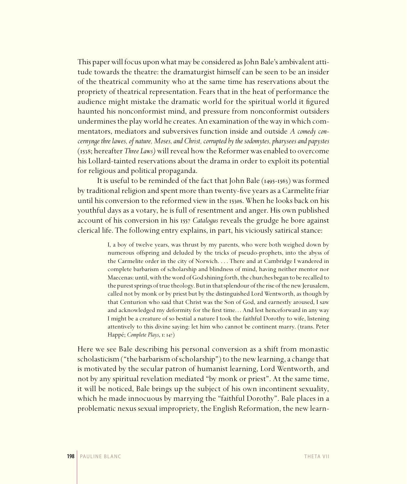This paper will focus upon what may be considered as John Bale's ambivalent attitude towards the theatre: the dramaturgist himself can be seen to be an insider of the theatrical community who at the same time has reservations about the propriety of theatrical representation. Fears that in the heat of performance the audience might mistake the dramatic world for the spiritual world it figured haunted his nonconformist mind, and pressure from nonconformist outsiders undermines the play world he creates. An examination of the way in which commentators, mediators and subversives function inside and outside *A comedy concernynge thre lawes, of nature, Moses, and Christ, corrupted by the sodomytes, pharysees and papystes*  (; hereafter *Three Laws)* will reveal how the Reformer was enabled to overcome his Lollard-tainted reservations about the drama in order to exploit its potential for religious and political propaganda.

It is useful to be reminded of the fact that John Bale  $(1495-1563)$  was formed by traditional religion and spent more than twenty-five years as a Carmelite friar until his conversion to the reformed view in the 1530s. When he looks back on his youthful days as a votary, he is full of resentment and anger. His own published account of his conversion in his *Catalogus* reveals the grudge he bore against clerical life. The following entry explains, in part, his viciously satirical stance:

> I, a boy of twelve years, was thrust by my parents, who were both weighed down by numerous offspring and deluded by the tricks of pseudo-prophets, into the abyss of the Carmelite order in the city of Norwich. . . . There and at Cambridge I wandered in complete barbarism of scholarship and blindness of mind, having neither mentor nor Maecenas: until, with the word of God shining forth, the churches began to be recalled to the purest springs of true theology. But in that splendour of the rise of the new Jerusalem, called not by monk or by priest but by the distinguished Lord Wentworth, as though by that Centurion who said that Christ was the Son of God, and earnestly aroused, I saw and acknowledged my deformity for the first time. . . And lest henceforward in any way I might be a creature of so bestial a nature I took the faithful Dorothy to wife, listening attentively to this divine saying: let him who cannot be continent marry. (trans. Peter Happé; *Complete Plays*, 1: 147)

Here we see Bale describing his personal conversion as a shift from monastic scholasticism ("the barbarism of scholarship") to the new learning, a change that is motivated by the secular patron of humanist learning, Lord Wentworth, and not by any spiritual revelation mediated "by monk or priest". At the same time, it will be noticed, Bale brings up the subject of his own incontinent sexuality, which he made innocuous by marrying the "faithful Dorothy". Bale places in a problematic nexus sexual impropriety, the English Reformation, the new learn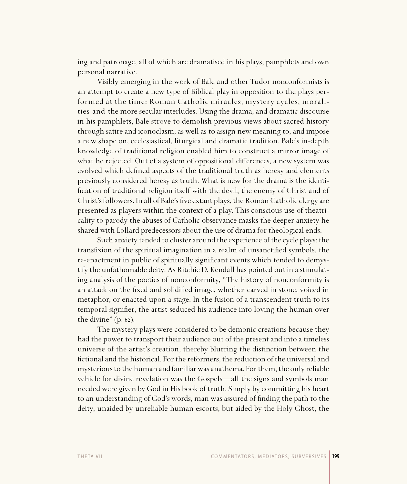ing and patronage, all of which are dramatised in his plays, pamphlets and own personal narrative.

Visibly emerging in the work of Bale and other Tudor nonconformists is an attempt to create a new type of Biblical play in opposition to the plays performed at the time: Roman Catholic miracles, mystery cycles, moralities and the more secular interludes. Using the drama, and dramatic discourse in his pamphlets, Bale strove to demolish previous views about sacred history through satire and iconoclasm, as well as to assign new meaning to, and impose a new shape on, ecclesiastical, liturgical and dramatic tradition. Bale's in-depth knowledge of traditional religion enabled him to construct a mirror image of what he rejected. Out of a system of oppositional differences, a new system was evolved which defined aspects of the traditional truth as heresy and elements previously considered heresy as truth. What is new for the drama is the identification of traditional religion itself with the devil, the enemy of Christ and of Christ's followers. In all of Bale's five extant plays, the Roman Catholic clergy are presented as players within the context of a play. This conscious use of theatricality to parody the abuses of Catholic observance masks the deeper anxiety he shared with Lollard predecessors about the use of drama for theological ends.

Such anxiety tended to cluster around the experience of the cycle plays: the transfixion of the spiritual imagination in a realm of unsanctified symbols, the re-enactment in public of spiritually significant events which tended to demystify the unfathomable deity. As Ritchie D. Kendall has pointed out in a stimulating analysis of the poetics of nonconformity, "The history of nonconformity is an attack on the fixed and solidified image, whether carved in stone, voiced in metaphor, or enacted upon a stage. In the fusion of a transcendent truth to its temporal signifier, the artist seduced his audience into loving the human over the divine"  $(p. 62)$ .

The mystery plays were considered to be demonic creations because they had the power to transport their audience out of the present and into a timeless universe of the artist's creation, thereby blurring the distinction between the fictional and the historical. For the reformers, the reduction of the universal and mysterious to the human and familiar was anathema. For them, the only reliable vehicle for divine revelation was the Gospels—all the signs and symbols man needed were given by God in His book of truth. Simply by committing his heart to an understanding of God's words, man was assured of finding the path to the deity, unaided by unreliable human escorts, but aided by the Holy Ghost, the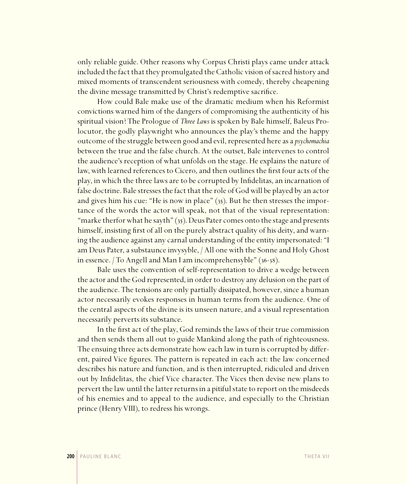only reliable guide. Other reasons why Corpus Christi plays came under attack included the fact that they promulgated the Catholic vision of sacred history and mixed moments of transcendent seriousness with comedy, thereby cheapening the divine message transmitted by Christ's redemptive sacrifice.

How could Bale make use of the dramatic medium when his Reformist convictions warned him of the dangers of compromising the authenticity of his spiritual vision? The Prologue of *Three Laws* is spoken by Bale himself, Baleus Prolocutor, the godly playwright who announces the play's theme and the happy outcome of the struggle between good and evil, represented here as a *psychomachia* between the true and the false church. At the outset, Bale intervenes to control the audience's reception of what unfolds on the stage. He explains the nature of law, with learned references to Cicero, and then outlines the first four acts of the play, in which the three laws are to be corrupted by Infidelitas, an incarnation of false doctrine. Bale stresses the fact that the role of God will be played by an actor and gives him his cue: "He is now in place"  $(35)$ . But he then stresses the importance of the words the actor will speak, not that of the visual representation: "marke therfor what he sayth"  $(35)$ . Deus Pater comes onto the stage and presents himself, insisting first of all on the purely abstract quality of his deity, and warning the audience against any carnal understanding of the entity impersonated: "I am Deus Pater, a substaunce invysyble, / All one with the Sonne and Holy Ghost in essence.  $/$  To Angell and Man I am incomprehensyble"  $(36-38)$ .

Bale uses the convention of self-representation to drive a wedge between the actor and the God represented, in order to destroy any delusion on the part of the audience. The tensions are only partially dissipated, however, since a human actor necessarily evokes responses in human terms from the audience. One of the central aspects of the divine is its unseen nature, and a visual representation necessarily perverts its substance.

In the first act of the play, God reminds the laws of their true commission and then sends them all out to guide Mankind along the path of righteousness. The ensuing three acts demonstrate how each law in turn is corrupted by different, paired Vice figures. The pattern is repeated in each act: the law concerned describes his nature and function, and is then interrupted, ridiculed and driven out by Infidelitas, the chief Vice character. The Vices then devise new plans to pervert the law until the latter returns in a pitiful state to report on the misdeeds of his enemies and to appeal to the audience, and especially to the Christian prince (Henry VIII), to redress his wrongs.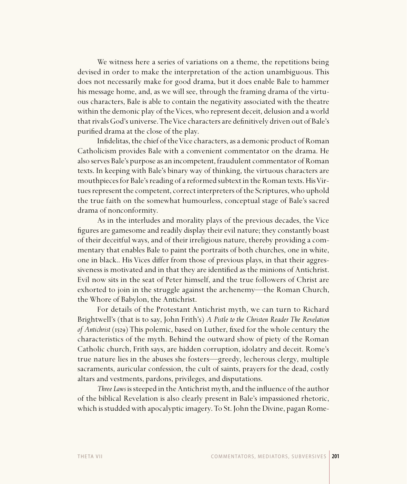We witness here a series of variations on a theme, the repetitions being devised in order to make the interpretation of the action unambiguous. This does not necessarily make for good drama, but it does enable Bale to hammer his message home, and, as we will see, through the framing drama of the virtuous characters, Bale is able to contain the negativity associated with the theatre within the demonic play of the Vices, who represent deceit, delusion and a world that rivals God's universe. The Vice characters are definitively driven out of Bale's purified drama at the close of the play.

Infidelitas, the chief of the Vice characters, as a demonic product of Roman Catholicism provides Bale with a convenient commentator on the drama. He also serves Bale's purpose as an incompetent, fraudulent commentator of Roman texts. In keeping with Bale's binary way of thinking, the virtuous characters are mouthpieces for Bale's reading of a reformed subtext in the Roman texts. His Virtues represent the competent, correct interpreters of the Scriptures, who uphold the true faith on the somewhat humourless, conceptual stage of Bale's sacred drama of nonconformity.

As in the interludes and morality plays of the previous decades, the Vice figures are gamesome and readily display their evil nature; they constantly boast of their deceitful ways, and of their irreligious nature, thereby providing a commentary that enables Bale to paint the portraits of both churches, one in white, one in black.. His Vices differ from those of previous plays, in that their aggressiveness is motivated and in that they are identified as the minions of Antichrist. Evil now sits in the seat of Peter himself, and the true followers of Christ are exhorted to join in the struggle against the archenemy—the Roman Church, the Whore of Babylon, the Antichrist.

For details of the Protestant Antichrist myth, we can turn to Richard Brightwell's (that is to say, John Frith's) *A Pistle to the Christen Reader The Revelation of Antichrist* (1529) This polemic, based on Luther, fixed for the whole century the characteristics of the myth. Behind the outward show of piety of the Roman Catholic church, Frith says, are hidden corruption, idolatry and deceit. Rome's true nature lies in the abuses she fosters—greedy, lecherous clergy, multiple sacraments, auricular confession, the cult of saints, prayers for the dead, costly altars and vestments, pardons, privileges, and disputations.

*Three Laws* is steeped in the Antichrist myth, and the influence of the author of the biblical Revelation is also clearly present in Bale's impassioned rhetoric, which is studded with apocalyptic imagery. To St. John the Divine, pagan Rome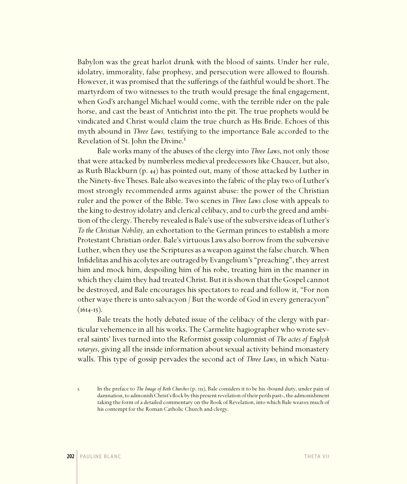Babylon was the great harlot drunk with the blood of saints. Under her rule, idolatry, immorality, false prophesy, and persecution were allowed to flourish. However, it was promised that the sufferings of the faithful would be short. The martyrdom of two witnesses to the truth would presage the final engagement, when God's archangel Michael would come, with the terrible rider on the pale horse, and cast the beast of Antichrist into the pit. The true prophets would be vindicated and Christ would claim the true church as His Bride. Echoes of this myth abound in *Three Laws,* testifying to the importance Bale accorded to the Revelation of St. John the Divine.<sup>1</sup>

Bale works many of the abuses of the clergy into *Three Laws*, not only those that were attacked by numberless medieval predecessors like Chaucer, but also, as Ruth Blackburn  $(p. 44)$  has pointed out, many of those attacked by Luther in the Ninety-five Theses. Bale also weaves into the fabric of the play two of Luther's most strongly recommended arms against abuse: the power of the Christian ruler and the power of the Bible. Two scenes in *Three Laws* close with appeals to the king to destroy idolatry and clerical celibacy, and to curb the greed and ambition of the clergy. Thereby revealed is Bale's use of the subversive ideas of Luther's *To the Christian Nobility,* an exhortation to the German princes to establish a more Protestant Christian order. Bale's virtuous Laws also borrow from the subversive Luther, when they use the Scriptures as a weapon against the false church. When Infidelitas and his acolytes are outraged by Evangelium's "preaching", they arrest him and mock him, despoiling him of his robe, treating him in the manner in which they claim they had treated Christ. But it is shown that the Gospel cannot be destroyed, and Bale encourages his spectators to read and follow it, "For non other waye there is unto salvacyon / But the worde of God in every generacyon"  $(1614-15).$ 

Bale treats the hotly debated issue of the celibacy of the clergy with particular vehemence in all his works. The Carmelite hagiographer who wrote several saints' lives turned into the Reformist gossip columnist of *The actes of Englysh votaryes*, giving all the inside information about sexual activity behind monastery walls. This type of gossip pervades the second act of *Three Laws*, in which Natu-

<sup>1.</sup> In the preface to *The Image of Both Churches* (p. 255), Bale considers it to be his «bound duty, under pain of damnation, to admonish Christ's flock by this present revelation of their perils past», the admonishment taking the form of a detailed commentary on the Book of Revelation, into which Bale weaves much of his contempt for the Roman Catholic Church and clergy.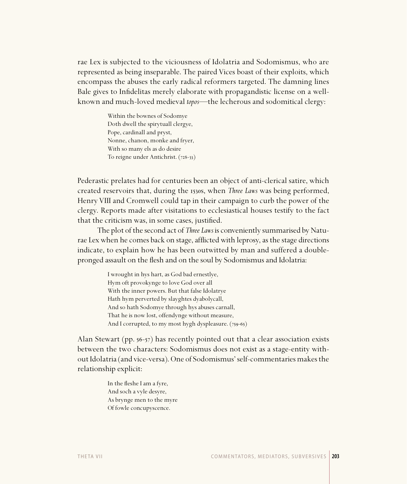rae Lex is subjected to the viciousness of Idolatria and Sodomismus, who are represented as being inseparable. The paired Vices boast of their exploits, which encompass the abuses the early radical reformers targeted. The damning lines Bale gives to Infidelitas merely elaborate with propagandistic license on a wellknown and much-loved medieval *topos*—the lecherous and sodomitical clergy:

> Within the bownes of Sodomye Doth dwell the spirytuall clergye, Pope, cardinall and pryst, Nonne, chanon, monke and fryer, With so many els as do desire To reigne under Antichrist. (728-33)

Pederastic prelates had for centuries been an object of anti-clerical satire, which created reservoirs that, during the 1530s, when *Three Laws* was being performed, Henry VIII and Cromwell could tap in their campaign to curb the power of the clergy. Reports made after visitations to ecclesiastical houses testify to the fact that the criticism was, in some cases, justified.

The plot of the second act of *Three Laws* is conveniently summarised by Naturae Lex when he comes back on stage, afflicted with leprosy, as the stage directions indicate, to explain how he has been outwitted by man and suffered a doublepronged assault on the flesh and on the soul by Sodomismus and Idolatria:

> I wrought in hys hart, as God bad ernestlye, Hym oft provokynge to love God over all With the inner powers. But that false Idolatrye Hath hym perverted by slayghtes dyabolycall, And so hath Sodomye through hys abuses carnall, That he is now lost, offendynge without measure, And I corrupted, to my most hygh dyspleasure.  $(759-65)$

Alan Stewart (pp.  $56-57$ ) has recently pointed out that a clear association exists between the two characters: Sodomismus does not exist as a stage-entity without Idolatria (and vice-versa). One of Sodomismus' self-commentaries makes the relationship explicit:

> In the fleshe I am a fyre, And soch a vyle desyre, As brynge men to the myre Of fowle concupyscence.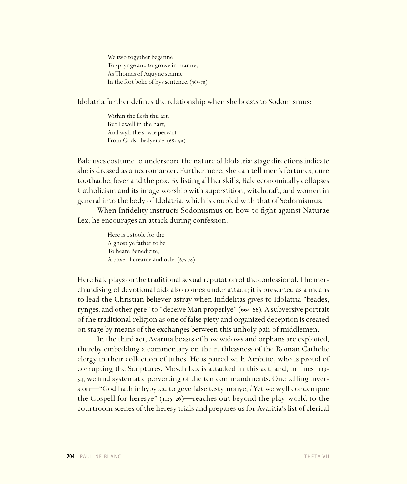We two togyther beganne To sprynge and to growe in manne, As Thomas of Aquyne scanne In the fort boke of hys sentence.  $(563-70)$ 

Idolatria further defines the relationship when she boasts to Sodomismus:

Within the flesh thu art, But I dwell in the hart, And wyll the sowle pervart From Gods obedyence. (687-90)

Bale uses costume to underscore the nature of Idolatria: stage directions indicate she is dressed as a necromancer. Furthermore, she can tell men's fortunes, cure toothache, fever and the pox. By listing all her skills, Bale economically collapses Catholicism and its image worship with superstition, witchcraft, and women in general into the body of Idolatria, which is coupled with that of Sodomismus.

When Infidelity instructs Sodomismus on how to fight against Naturae Lex, he encourages an attack during confession:

> Here is a stoole for the A ghostlye father to be To heare Benedicite, A boxe of creame and oyle.  $(675-78)$

Here Bale plays on the traditional sexual reputation of the confessional. The merchandising of devotional aids also comes under attack; it is presented as a means to lead the Christian believer astray when Infidelitas gives to Idolatria "beades, rynges, and other gere" to "deceive Man properlye" (664-66). A subversive portrait of the traditional religion as one of false piety and organized deception is created on stage by means of the exchanges between this unholy pair of middlemen.

In the third act, Avaritia boasts of how widows and orphans are exploited, thereby embedding a commentary on the ruthlessness of the Roman Catholic clergy in their collection of tithes. He is paired with Ambitio, who is proud of corrupting the Scriptures. Moseh Lex is attacked in this act, and, in lines 1109-34, we find systematic perverting of the ten commandments. One telling inversion—"God hath inhybyted to geve false testymonye, / Yet we wyll condempne the Gospell for heresye"  $(n25-26)$ —reaches out beyond the play-world to the courtroom scenes of the heresy trials and prepares us for Avaritia's list of clerical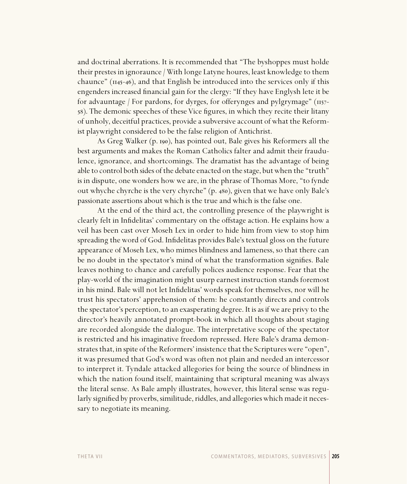and doctrinal aberrations. It is recommended that "The byshoppes must holde their prestes in ignoraunce / With longe Latyne houres, least knowledge to them chaunce"  $(\mu_{45-46})$ , and that English be introduced into the services only if this engenders increased financial gain for the clergy: "If they have Englysh lete it be for advauntage / For pardons, for dyrges, for offerynges and pylgrymage"  $(\text{H57-})$ 58). The demonic speeches of these Vice figures, in which they recite their litany of unholy, deceitful practices, provide a subversive account of what the Reformist playwright considered to be the false religion of Antichrist.

As Greg Walker (p. 190), has pointed out, Bale gives his Reformers all the best arguments and makes the Roman Catholics falter and admit their fraudulence, ignorance, and shortcomings. The dramatist has the advantage of being able to control both sides of the debate enacted on the stage, but when the "truth" is in dispute, one wonders how we are, in the phrase of Thomas More, "to fynde out whyche chyrche is the very chyrche" (p. 480), given that we have only Bale's passionate assertions about which is the true and which is the false one.

At the end of the third act, the controlling presence of the playwright is clearly felt in Infidelitas' commentary on the offstage action. He explains how a veil has been cast over Moseh Lex in order to hide him from view to stop him spreading the word of God. Infidelitas provides Bale's textual gloss on the future appearance of Moseh Lex, who mimes blindness and lameness, so that there can be no doubt in the spectator's mind of what the transformation signifies. Bale leaves nothing to chance and carefully polices audience response. Fear that the play-world of the imagination might usurp earnest instruction stands foremost in his mind. Bale will not let Infidelitas' words speak for themselves, nor will he trust his spectators' apprehension of them: he constantly directs and controls the spectator's perception, to an exasperating degree. It is as if we are privy to the director's heavily annotated prompt-book in which all thoughts about staging are recorded alongside the dialogue. The interpretative scope of the spectator is restricted and his imaginative freedom repressed. Here Bale's drama demonstrates that, in spite of the Reformers' insistence that the Scriptures were "open", it was presumed that God's word was often not plain and needed an intercessor to interpret it. Tyndale attacked allegories for being the source of blindness in which the nation found itself, maintaining that scriptural meaning was always the literal sense. As Bale amply illustrates, however, this literal sense was regularly signified by proverbs, similitude, riddles, and allegories which made it necessary to negotiate its meaning.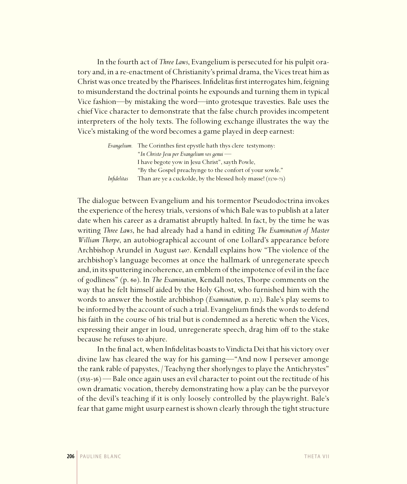In the fourth act of *Three Laws*, Evangelium is persecuted for his pulpit oratory and, in a re-enactment of Christianity's primal drama, the Vices treat him as Christ was once treated by the Pharisees. Infidelitas first interrogates him, feigning to misunderstand the doctrinal points he expounds and turning them in typical Vice fashion—by mistaking the word—into grotesque travesties. Bale uses the chief Vice character to demonstrate that the false church provides incompetent interpreters of the holy texts. The following exchange illustrates the way the Vice's mistaking of the word becomes a game played in deep earnest:

|             | Evangelium. The Corinthes first epystle hath thys clere testymony: |
|-------------|--------------------------------------------------------------------|
|             | "In Christo Jesu per Evangelium vos genui -                        |
|             | I have begote yow in Jesu Christ", sayth Powle,                    |
|             | "By the Gospel preachynge to the confort of your sowle."           |
| Infidelitas | Than are ye a cuckolde, by the blessed holy masse! (1370-73)       |

The dialogue between Evangelium and his tormentor Pseudodoctrina invokes the experience of the heresy trials, versions of which Bale was to publish at a later date when his career as a dramatist abruptly halted. In fact, by the time he was writing *Three Laws*, he had already had a hand in editing *The Examination of Master William Thorpe*, an autobiographical account of one Lollard's appearance before Archbishop Arundel in August 1407. Kendall explains how "The violence of the archbishop's language becomes at once the hallmark of unregenerate speech and, in its sputtering incoherence, an emblem of the impotence of evil in the face of godliness" (p. 60). In *The Examination*, Kendall notes, Thorpe comments on the way that he felt himself aided by the Holy Ghost, who furnished him with the words to answer the hostile archbishop (*Examination*, p. 112). Bale's play seems to be informed by the account of such a trial. Evangelium finds the words to defend his faith in the course of his trial but is condemned as a heretic when the Vices, expressing their anger in loud, unregenerate speech, drag him off to the stake because he refuses to abjure.

In the final act, when Infidelitas boasts to Vindicta Dei that his victory over divine law has cleared the way for his gaming—"And now I persever amonge the rank rable of papystes, / Teachyng ther shorlynges to playe the Antichrystes"  $(1835-36)$  — Bale once again uses an evil character to point out the rectitude of his own dramatic vocation, thereby demonstrating how a play can be the purveyor of the devil's teaching if it is only loosely controlled by the playwright. Bale's fear that game might usurp earnest is shown clearly through the tight structure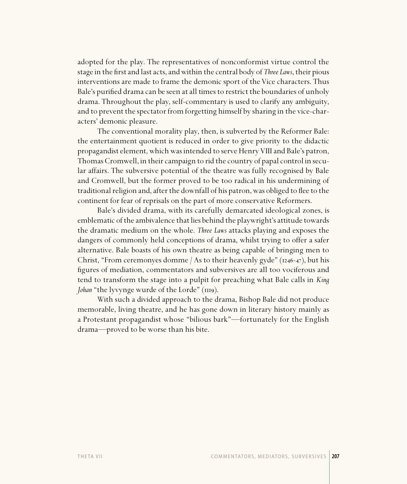adopted for the play. The representatives of nonconformist virtue control the stage in the first and last acts, and within the central body of *Three Laws*, their pious interventions are made to frame the demonic sport of the Vice characters. Thus Bale's purified drama can be seen at all times to restrict the boundaries of unholy drama. Throughout the play, self-commentary is used to clarify any ambiguity, and to prevent the spectator from forgetting himself by sharing in the vice-characters' demonic pleasure.

The conventional morality play, then, is subverted by the Reformer Bale: the entertainment quotient is reduced in order to give priority to the didactic propagandist element, which was intended to serve Henry VIII and Bale's patron, Thomas Cromwell, in their campaign to rid the country of papal control in secular affairs. The subversive potential of the theatre was fully recognised by Bale and Cromwell, but the former proved to be too radical in his undermining of traditional religion and, after the downfall of his patron, was obliged to flee to the continent for fear of reprisals on the part of more conservative Reformers.

Bale's divided drama, with its carefully demarcated ideological zones, is emblematic of the ambivalence that lies behind the playwright's attitude towards the dramatic medium on the whole. *Three Laws* attacks playing and exposes the dangers of commonly held conceptions of drama, whilst trying to offer a safer alternative. Bale boasts of his own theatre as being capable of bringing men to Christ, "From ceremonyes domme / As to their heavenly gyde" ( $1246-47$ ), but his figures of mediation, commentators and subversives are all too vociferous and tend to transform the stage into a pulpit for preaching what Bale calls in *King Johan* "the lyvynge wurde of the Lorde" (1119).

With such a divided approach to the drama, Bishop Bale did not produce memorable, living theatre, and he has gone down in literary history mainly as a Protestant propagandist whose "bilious bark"—fortunately for the English drama—proved to be worse than his bite.